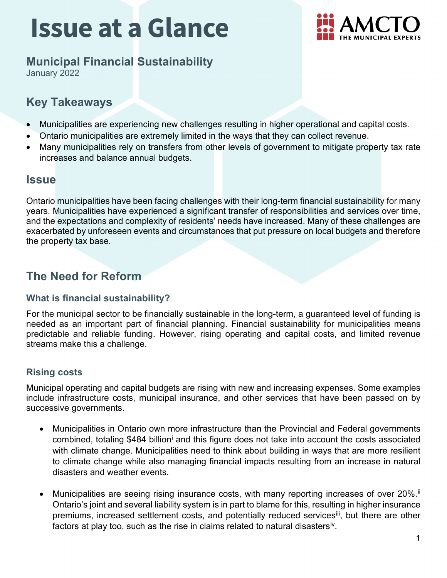# **Issue at a Glance**



## **Municipal Financial Sustainability**

January 2022

## **Key Takeaways**

- Municipalities are experiencing new challenges resulting in higher operational and capital costs.
- Ontario municipalities are extremely limited in the ways that they can collect revenue.
- Many municipalities rely on transfers from other levels of government to mitigate property tax rate increases and balance annual budgets.

### **Issue**

Ontario municipalities have been facing challenges with their long-term financial sustainability for many years. Municipalities have experienced a significant transfer of responsibilities and services over time, and the expectations and complexity of residents' needs have increased. Many of these challenges are exacerbated by unforeseen events and circumstances that put pressure on local budgets and therefore the property tax base.

# **The Need for Reform**

### **What is financial sustainability?**

For the municipal sector to be financially sustainable in the long-term, a guaranteed level of funding is needed as an important part of financial planning. Financial sustainability for municipalities means predictable and reliable funding. However, rising operating and capital costs, and limited revenue streams make this a challenge.

### **Rising costs**

Municipal operating and capital budgets are rising with new and increasing expenses. Some examples include infrastructure costs, municipal insurance, and other services that have been passed on by successive governments.

- Municipalities in Ontario own more infrastructure than the Provincial and Federal governments comb[i](#page-2-0)ned, totaling \$484 billion<sup>i</sup> and this figure does not take into account the costs associated with climate change. Municipalities need to think about building in ways that are more resilient to climate change while also managing financial impacts resulting from an increase in natural disasters and weather events.
- Municipalities are seeing rising insurance costs, with many reporting increases of over 20%.<sup>ii</sup> Ontario's joint and several liability system is in part to blame for this, resulting in higher insurance premiums, increased settlement costs, and potentially reduced services<sup>iii</sup>, but there are other factors at play too, such as the rise in claims related to natural disasters<sup>iv</sup>.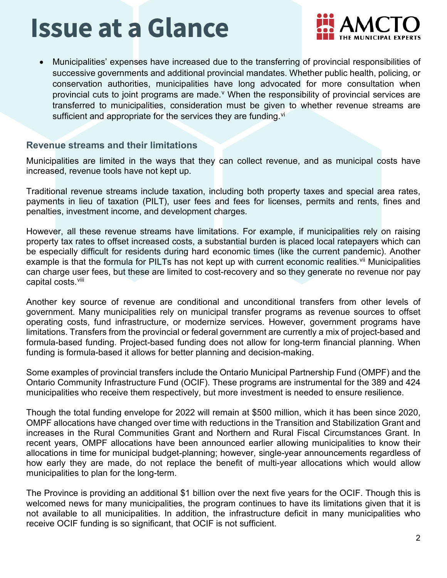# **Issue at a Glance**



• Municipalities' expenses have increased due to the transferring of provincial responsibilities of successive governments and additional provincial mandates. Whether public health, policing, or conservation authorities, municipalities have long advocated for more consultation when pro[v](#page-2-4)incial cuts to joint programs are made. V When the responsibility of provincial services are transferred to municipalities, consideration must be given to whether revenue streams are sufficient and appropriate for the ser[vi](#page-2-5)ces they are funding.<sup>vi</sup>

#### **Revenue streams and their limitations**

Municipalities are limited in the ways that they can collect revenue, and as municipal costs have increased, revenue tools have not kept up.

Traditional revenue streams include taxation, including both property taxes and special area rates, payments in lieu of taxation (PILT), user fees and fees for licenses, permits and rents, fines and penalties, investment income, and development charges.

However, all these revenue streams have limitations. For example, if municipalities rely on raising property tax rates to offset increased costs, a substantial burden is placed local ratepayers which can be especially difficult for residents during hard economic times (like the current pandemic). Another example is that the formula for PILTs has not kept up with current economic realities. Vil Municipalities can charge user fees, but these are limited to cost-recovery and so they generate no revenue nor pay capital costs.<sup>[viii](#page-2-7)</sup>

Another key source of revenue are conditional and unconditional transfers from other levels of government. Many municipalities rely on municipal transfer programs as revenue sources to offset operating costs, fund infrastructure, or modernize services. However, government programs have limitations. Transfers from the provincial or federal government are currently a mix of project-based and formula-based funding. Project-based funding does not allow for long-term financial planning. When funding is formula-based it allows for better planning and decision-making.

Some examples of provincial transfers include the Ontario Municipal Partnership Fund (OMPF) and the Ontario Community Infrastructure Fund (OCIF). These programs are instrumental for the 389 and 424 municipalities who receive them respectively, but more investment is needed to ensure resilience.

Though the total funding envelope for 2022 will remain at \$500 million, which it has been since 2020, OMPF allocations have changed over time with reductions in the Transition and Stabilization Grant and increases in the Rural Communities Grant and Northern and Rural Fiscal Circumstances Grant. In recent years, OMPF allocations have been announced earlier allowing municipalities to know their allocations in time for municipal budget-planning; however, single-year announcements regardless of how early they are made, do not replace the benefit of multi-year allocations which would allow municipalities to plan for the long-term.

The Province is providing an additional \$1 billion over the next five years for the OCIF. Though this is welcomed news for many municipalities, the program continues to have its limitations given that it is not available to all municipalities. In addition, the infrastructure deficit in many municipalities who receive OCIF funding is so significant, that OCIF is not sufficient.